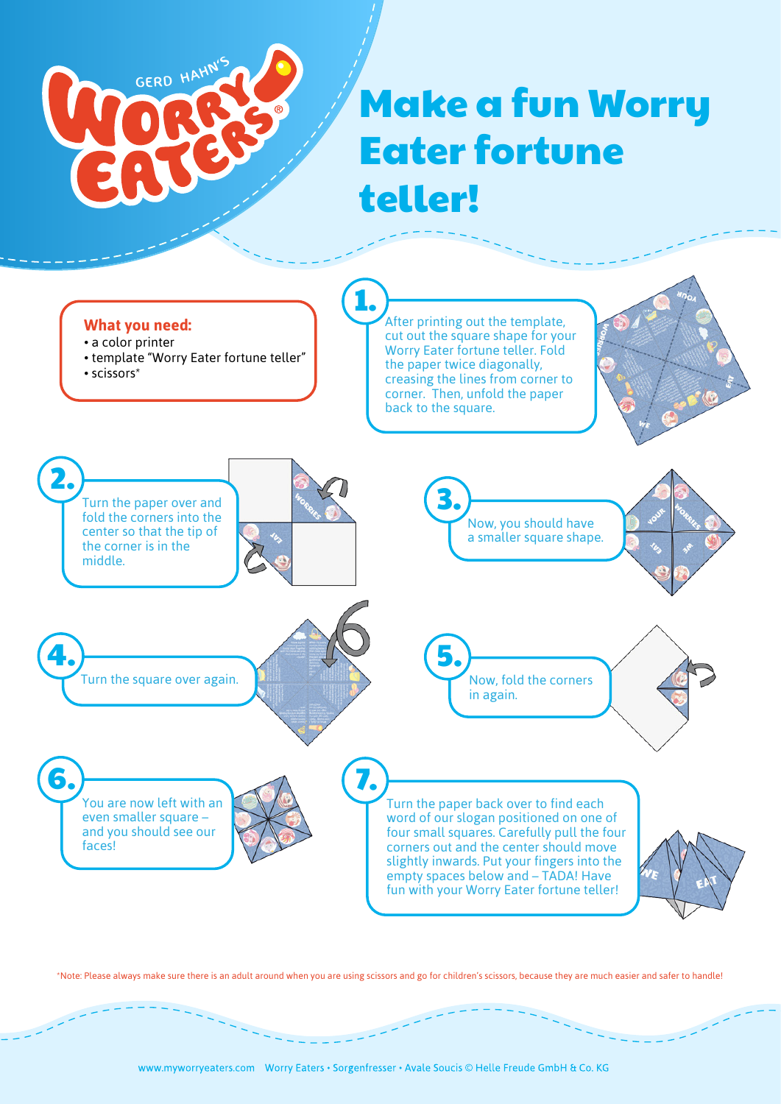

## Make a fun Worry Eater fortune teller!

## **What you need:**

- a color printer
- template "Worry Eater fortune teller"
- scissors\*

After printing out the template, cut out the square shape for your Worry Eater fortune teller. Fold the paper twice diagonally, creasing the lines from corner to corner. Then, unfold the paper back to the square.



1.

\*Note: Please always make sure there is an adult around when you are using scissors and go for children's scissors, because they are much easier and safer to handle!